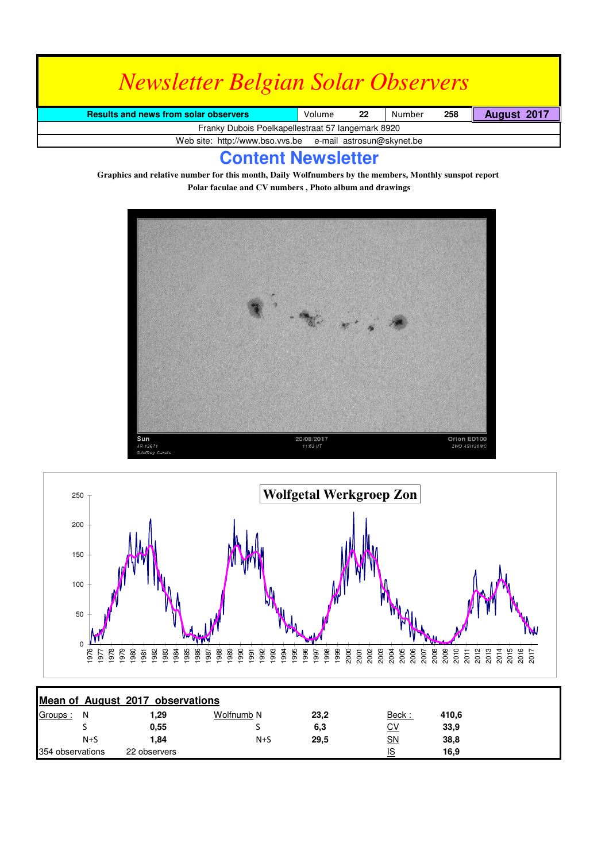## *Newsletter Belgian Solar Observers*  Volume **22** Number **258 August 2017** Franky Dubois Poelkapellestraat 57 langemark 8920 Web site: http://www.bso.vvs.be e-mail astrosun@skynet.be **Results and news from solar observers**

## **Content Newsletter**

**Graphics and relative number for this month, Daily Wolfnumbers by the members, Monthly sunspot report Polar faculae and CV numbers , Photo album and drawings**





|                  |       | Mean of August 2017 observations |            |      |                |       |
|------------------|-------|----------------------------------|------------|------|----------------|-------|
| Groups:          | N     | 29. ا                            | Wolfnumb N | 23,2 | Beck:          | 410,6 |
|                  |       | 0,55                             |            | 6,3  | <u>CV</u>      | 33,9  |
|                  | $N+S$ | 1.84                             | $N+S$      | 29,5 | S <sub>N</sub> | 38,8  |
| 354 observations |       | 22 observers                     |            |      | IS             | 16,9  |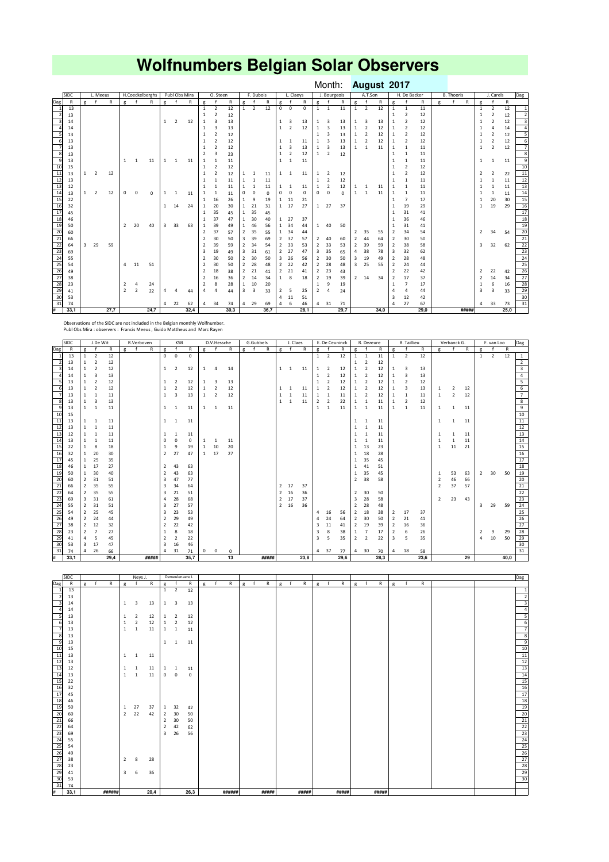## **Wolfnumbers Belgian Solar Observers**

|     |             |                             |                |              |                |                |             |   |                |    |                |                |    |                |                |    |                |                |    |                |                          |          |                          | - 1                     |    |                |                   |    |   |           |             |                |                |    |    |
|-----|-------------|-----------------------------|----------------|--------------|----------------|----------------|-------------|---|----------------|----|----------------|----------------|----|----------------|----------------|----|----------------|----------------|----|----------------|--------------------------|----------|--------------------------|-------------------------|----|----------------|-------------------|----|---|-----------|-------------|----------------|----------------|----|----|
|     | <b>SIDC</b> | L. Meeus<br>H.Coeckelberghs |                |              |                | Publ Obs Mira  |             |   | O. Steen       |    |                | F. Dubois      |    |                | L. Claeys      |    |                | J. Bourgeois   |    |                | A.T.Son                  |          |                          | H. De Backer            |    |                | <b>B.</b> Thooris |    |   | J. Carels |             | Dag            |                |    |    |
| Dag | R           | g                           |                | $\mathsf{R}$ | g              |                | R           | g |                | R  | g              |                | R  | g              |                | R  | g              |                | R  |                |                          | R        |                          |                         | R  | g              |                   | R  | g |           | $\mathsf R$ | g              |                | R  |    |
|     | 13          |                             |                |              |                |                |             |   |                |    | 1              | $\overline{2}$ | 12 | 1              | $\overline{2}$ | 12 | $^{\circ}$     | $\mathbf 0$    | 0  | $\mathbf{1}$   | $\mathbf{1}$             | 11       | 1                        | $\overline{2}$          | 12 | 1              | $\mathbf{1}$      | 11 |   |           |             | 1              | $\overline{2}$ | 12 |    |
|     | 13          |                             |                |              |                |                |             |   |                |    |                | 2              | 12 |                |                |    |                |                |    |                |                          |          |                          |                         |    |                | 2                 | 12 |   |           |             | 1              | 2              | 12 |    |
|     | 14          |                             |                |              |                |                |             | 1 | $\overline{2}$ | 12 |                | 3              | 13 |                |                |    | 1              | 3              | 13 | 1              | 3                        | 13       | -1                       | 3                       | 13 | 1              | 2                 | 12 |   |           |             | 1              | 2              | 12 |    |
|     | 14          |                             |                |              |                |                |             |   |                |    | 1              | 3              | 13 |                |                |    | 1              | $\overline{2}$ | 12 | 1              | 3                        | 13       | 1                        | 2                       | 12 | 1              | $\overline{2}$    | 12 |   |           |             | 1              | 4              | 14 |    |
|     | 13          |                             |                |              |                |                |             |   |                |    | -1             | $\overline{2}$ | 12 |                |                |    |                |                |    | 1              | 3                        | 13       | 1                        | $\overline{\mathbf{z}}$ | 12 | 1              | 2                 | 12 |   |           |             | 1              | 2              | 12 |    |
|     | 13          |                             |                |              |                |                |             |   |                |    |                | $\overline{2}$ | 12 |                |                |    | 1              |                | 11 | $\mathbf{1}$   | 3                        | 13       | $\mathbf{1}$             | $\overline{\mathbf{z}}$ | 12 | 1              | $\overline{2}$    | 12 |   |           |             | 1              | $\overline{2}$ | 12 |    |
|     | 13          |                             |                |              |                |                |             |   |                |    |                | 2              | 12 |                |                |    | 1              | 3              | 13 | 1              | 3                        | 13       |                          | -1                      | 11 | 1              |                   | 11 |   |           |             | 1              | $\overline{2}$ | 12 |    |
|     | 13          |                             |                |              |                |                |             |   |                |    | $\overline{2}$ | 3              | 23 |                |                |    | 1              | $\overline{2}$ | 12 | 1              | $\overline{\phantom{a}}$ | 12       |                          |                         |    | 1              | $\mathbf{1}$      | 11 |   |           |             |                |                |    |    |
|     | 13          |                             |                |              | 1              | 1              | 11          | 1 | 1              | 11 |                |                | 11 |                |                |    | 1              |                | 11 |                |                          |          |                          |                         |    | 1              | 1                 | 11 |   |           |             | 1              | 1              | 11 |    |
| 10  | 15          |                             |                |              |                |                |             |   |                |    | -1             | $\overline{2}$ | 12 |                |                |    |                |                |    |                |                          |          |                          |                         |    | 1              | $\overline{2}$    | 12 |   |           |             |                |                |    | 10 |
| 11  | 13          |                             | $\overline{2}$ | 12           |                |                |             |   |                |    |                | $\overline{2}$ | 12 |                | -1             | 11 | 1              | $\mathbf{1}$   | 11 |                | 2                        | 12       |                          |                         |    | 1              | $\overline{2}$    | 12 |   |           |             | $\overline{2}$ | $\overline{2}$ | 22 | 11 |
| 12  | 13          |                             |                |              |                |                |             |   |                |    | -1             | 1              | 11 | 1              | 1              | 11 |                |                |    | 1              | 2                        | 12       |                          |                         |    | 1              | 1                 | 11 |   |           |             | 1              | 1              | 11 | 12 |
| 13  | 12          |                             |                |              |                |                |             |   |                |    | -1             | 1              | 11 | 1              | 1              | 11 | -1             | $\mathbf{1}$   | 11 | 1              | $\overline{2}$           | 12       | 1                        | 1                       | 11 | 1              | 1                 | 11 |   |           |             | 1              | 1              | 11 | 13 |
| 14  | 13          | -1                          | 2              | 12           | 0              | 0              | $\mathbf 0$ | 1 | 1              | 11 |                |                | 11 | 0              | 0              | O  | 0              | 0              | 0  | 0              | $\Omega$                 | $\Omega$ | -1                       | -1                      | 11 | 1              | 1                 | 11 |   |           |             | 1              | 1              | 11 | 14 |
| 15  | 22          |                             |                |              |                |                |             |   |                |    | $\mathbf{1}$   | 16             | 26 | 1              | 9              | 19 | 1              | 11             | 21 |                |                          |          |                          |                         |    | 1              | $\overline{7}$    | 17 |   |           |             | 1              | 20             | 30 | 15 |
| 16  | 32          |                             |                |              |                |                |             | 1 | 14             | 24 |                | 20             | 30 | 1              | 21             | 31 |                | 1 17           | 27 | 1              | 27                       | 37       |                          |                         |    | 1              | 19                | 29 |   |           |             | 1              | 19             | 29 | 16 |
| 17  | 45          |                             |                |              |                |                |             |   |                |    | -1             | 35             | 45 | $\mathbf{1}$   | 35             | 45 |                |                |    |                |                          |          |                          |                         |    | 1              | 31                | 41 |   |           |             |                |                |    | 17 |
| 18  | 46          |                             |                |              |                |                |             |   |                |    |                | 37             | 47 | 1              | 30             | 40 | 1              | 27             | 37 |                |                          |          |                          |                         |    | 1              | 36                | 46 |   |           |             |                |                |    | 18 |
| 19  | 50          |                             |                |              | 2              | 20             | 40          | 3 | 33             | 63 |                | 39             | 49 | 1              | 46             | 56 | 1              | 34             | 44 | -1             | 40                       | 50       |                          |                         |    | 1              | 31                | 41 |   |           |             |                |                |    | 19 |
| 20  | 60          |                             |                |              |                |                |             |   |                |    | $\overline{2}$ | 37             | 57 | 2              | 35             | 55 | 1              | 34             | 44 |                |                          |          | $\overline{\phantom{a}}$ | 35                      | 55 | 2              | 34                | 54 |   |           |             | 2              | 34             | 54 | 20 |
| 21  | 66          |                             |                |              |                |                |             |   |                |    | $\overline{2}$ | 30             | 50 | 3              | 39             | 69 | $\overline{2}$ | 37             | 57 | 2              | 40                       | 60       | 2                        | 44                      | 64 | 2              | 30                | 50 |   |           |             |                |                |    | 21 |
| 22  | 64          | 3                           | 29             | 59           |                |                |             |   |                |    | $\overline{2}$ | 39             | 59 | $\overline{2}$ | 34             | 54 | $\overline{2}$ | 33             | 53 | $\overline{2}$ | 33                       | 53       | $\overline{2}$           | 39                      | 59 | $\overline{2}$ | 38                | 58 |   |           |             | 3              | 32             | 62 | 22 |
| 23  | 69          |                             |                |              |                |                |             |   |                |    | 3              | 19             | 49 | 3              | 31             | 61 | $\overline{2}$ | 27             | 47 | 3              | 35                       | 65       | 4                        | 38                      | 78 | 3              | 32                | 62 |   |           |             |                |                |    | 23 |
| 24  | 55          |                             |                |              |                |                |             |   |                |    | 2              | 30             | 50 | $\overline{2}$ | 30             | 50 | 3              | 26             | 56 | 2              | 30                       | 50       | 3                        | 19                      | 49 | 2              | 28                | 48 |   |           |             |                |                |    | 24 |
| 25  | 54          |                             |                |              | $\overline{4}$ | 11             | 51          |   |                |    | 2              | 30             | 50 | $\overline{2}$ | 28             | 48 | $\overline{2}$ | 22             | 42 | 2              | 28                       | 48       | 3                        | 25                      | 55 | 2              | 24                | 44 |   |           |             |                |                |    | 25 |
| 26  | 49          |                             |                |              |                |                |             |   |                |    | $\overline{2}$ | 18             | 38 | $\overline{2}$ | 21             | 41 | $\overline{2}$ | 21             | 41 | $\overline{2}$ | 23                       | 43       |                          |                         |    | $\overline{2}$ | 22                | 42 |   |           |             | 2              | 22             | 42 | 26 |
| 27  | 38          |                             |                |              |                |                |             |   |                |    | 2              | 16             | 36 | 2              | 14             | 34 | 1              | 8              | 18 | 2              | 19                       | 39       | 2                        | 14                      | 34 | 2              | 17                | 37 |   |           |             | 2              | 14             | 34 | 27 |
| 28  | 23          |                             |                |              | 2              | 4              | 24          |   |                |    | $\overline{2}$ | 8              | 28 | 1              | 10             | 20 |                |                |    | 1              | 9                        | 19       |                          |                         |    | 1              | 7                 | 17 |   |           |             |                | 6              | 16 | 28 |
| 29  | 41          |                             |                |              | $\overline{2}$ | $\overline{2}$ | 22          | Δ |                | 44 | 4              | Δ              | 44 | 3              | 3              | 33 | $\overline{2}$ | 5              | 25 | $\overline{2}$ | 4                        | 24       |                          |                         |    | 4              | 4                 | 44 |   |           |             | 3              | 3              | 33 | 29 |
| 30  | 53          |                             |                |              |                |                |             |   |                |    |                |                |    |                |                |    | $\overline{4}$ | 11             | 51 |                |                          |          |                          |                         |    | 3              | 12                | 42 |   |           |             |                |                |    | 30 |
| 31  | 74          |                             |                |              |                |                |             | 4 | 22             | 62 |                | 34             | 74 | 4              | 29             | 69 | $\overline{a}$ | 6              | 46 | 4              | 31                       | 71       |                          |                         |    | 4              | 27                | 67 |   |           |             | 4              | 33             | 73 | 31 |

# **33,1 27,7 24,7 32,4 30,3 36,7 28,1 29,7 34,0 29,0 ##### 25,0**

Month: **August 2017**

Observations of the SIDC are not included in the Belgian monthly Wolfnumber. Publ Obs Mira : observers : Francis Meeus , Guido Mattheus and Marc Rayen

|                                                      | SIDC            |                         | J.De Wit                  |           |                         | R.Verboven              |              |                            | KSB                                 |             |              | D.V.Hessche             |             |   | G.Gubbels         |                | J. Claes     |             |                         | E. De Ceuninck |           |                               | R. Dezeure      |           |                         | <b>B.</b> Taillieu |             |                | Verbanck G.    |    |                         | F. van Loo     |      | Dag                                                           |
|------------------------------------------------------|-----------------|-------------------------|---------------------------|-----------|-------------------------|-------------------------|--------------|----------------------------|-------------------------------------|-------------|--------------|-------------------------|-------------|---|-------------------|----------------|--------------|-------------|-------------------------|----------------|-----------|-------------------------------|-----------------|-----------|-------------------------|--------------------|-------------|----------------|----------------|----|-------------------------|----------------|------|---------------------------------------------------------------|
| Dag                                                  | $\mathsf{R}$    | $\epsilon$              | $\mathsf{f}$              | ${\sf R}$ |                         |                         | $\mathsf{R}$ | g                          | f                                   | ${\sf R}$   |              | f                       | ${\sf R}$   | g | $\mathsf{f}$<br>R | g              | $\mathsf{f}$ | ${\sf R}$   | $\mathsf g$             | f              | R         | g                             |                 | R         | g                       |                    | R           | g              | f              | R  | g                       | f              | R    |                                                               |
| $\mathbf{1}$                                         | 13              | $\mathbf{1}$            | $\overline{2}$            | $12\,$    |                         |                         |              | 0                          | $\mathbf 0$                         | $\mathbf 0$ |              |                         |             |   |                   |                |              |             | $\mathbf{1}$            | $\overline{2}$ | $12\,$    | $\mathbf 1$                   | $\mathbf{1}$    | 11        | $1\,$                   | $\overline{2}$     | 12          |                |                |    | $\mathbf{1}$            | $\overline{2}$ | 12   | $\mathbf{1}$                                                  |
| س س                                                  | 13              | $\mathbf{1}$            | $\mathbf 2$               | 12        |                         |                         |              |                            |                                     |             |              |                         |             |   |                   |                |              |             |                         |                |           | $\mathbf 1$                   | $\overline{2}$  | 12        |                         |                    |             |                |                |    |                         |                |      | $\frac{2}{3}$                                                 |
|                                                      | 14              | 1                       | $\sqrt{2}$                | 12        |                         |                         |              | $\mathbf{1}$               | $\overline{2}$                      | 12          | $\mathbf{1}$ | $\overline{4}$          | 14          |   |                   |                | $1 \quad 1$  | 11          | $\mathbf{1}$            | $\overline{2}$ | 12        | $\mathbf{1}$                  | $\overline{2}$  | 12        | -1                      | 3                  | 13          |                |                |    |                         |                |      |                                                               |
| $\overline{a}$                                       | 14              | $\mathbf{1}$            | $\ensuremath{\mathsf{3}}$ | 13        |                         |                         |              |                            |                                     |             |              |                         |             |   |                   |                |              |             | $\,$ 1                  | $\mathbf 2$    | $12\,$    | $\,1\,$                       | $\overline{2}$  | 12        | $\mathbf{1}$            | 3                  | 13          |                |                |    |                         |                |      | $\overline{4}$                                                |
| $\overline{\phantom{a}}$                             | 13              | $1\,$                   | $\mathbf 2$               | 12        |                         |                         |              | $\,$ 1                     | $\overline{2}$                      | 12          | $\mathbf 1$  | $\overline{\mathbf{3}}$ | 13          |   |                   |                |              |             | $\,$ 1                  | $\mathbf 2$    | 12        | $\,1\,$                       | $\mathbf 2$     | 12        | 1                       | $\overline{2}$     | 12          |                |                |    |                         |                |      | $\begin{array}{r} 5 \\ \hline 6 \\ \hline 7 \\ 8 \end{array}$ |
| 6                                                    | 13              | $1\,$                   | $\mathbf 2$               | 12        |                         |                         |              | $\,1\,$                    | $\mathbf 2$                         | 12          | $\,$ 1 $\,$  | $\overline{2}$          | 12          |   |                   | $\mathbf 1$    | $\,$ 1       | $11\,$      | $\,1\,$                 | $\mathbf 2$    | 12        | $\mathbf 1$                   | $\overline{2}$  | 12        | 1                       | 3                  | 13          | $\mathbf{1}$   | $\overline{2}$ | 12 |                         |                |      |                                                               |
| $\overline{1}$                                       | 13              | 1                       | $\,$ 1                    | 11        |                         |                         |              | $\,$ 1 $\,$                | $\ensuremath{\mathsf{3}}$           | $13\,$      | $\,$ 1 $\,$  | $\overline{2}$          | 12          |   |                   | $\,$ 1 $\,$    | $\mathbf{1}$ | $11\,$      | $\,$ 1                  | $\,$ 1         | $11\,$    | $\mathbf{1}$                  | $\overline{2}$  | 12        | $\mathbf{1}$            | $\mathbf{1}$       | 11          | $\mathbf{1}$   | $\overline{2}$ | 12 |                         |                |      |                                                               |
| $\overline{\mathbf{8}}$                              | 13              | $\mathbf{1}$            | $\sqrt{3}$                | 13        |                         |                         |              |                            |                                     |             |              |                         |             |   |                   | $\,$ 1 $\,$    | $\,$ 1 $\,$  | $11\,$      | $\mathbf 2$             | $\overline{2}$ | 22        | $\mathbf 1$                   | $\mathbf 1$     | 11        | $\mathbf{1}$            | $\overline{2}$     | 12          |                |                |    |                         |                |      |                                                               |
| 9                                                    | 13              | $\mathbf{1}$            | $\mathbf 1$               | 11        |                         |                         |              | $\mathbf 1$                | $\overline{1}$                      | 11          | 1            | $\mathbf{1}$            | $11\,$      |   |                   |                |              |             | $\,1\,$                 | $\mathbf{1}$   | $11\,$    | $\mathbf 1$                   | $\,$ 1          | $11\,$    | $\mathbf{1}$            | $1\,$              | $11\,$      | $\mathbf 1$    | $\mathbf{1}$   | 11 |                         |                |      | $\mathsf g$                                                   |
| 10                                                   | 15              |                         |                           |           |                         |                         |              |                            |                                     |             |              |                         |             |   |                   |                |              |             |                         |                |           |                               |                 |           |                         |                    |             |                |                |    |                         |                |      | $\frac{10}{11}$                                               |
| 11                                                   | 13              | $\mathbf{1}$            | $\overline{1}$            | 11        |                         |                         |              | $\mathbf{1}$               | $\mathbf{1}$                        | $11\,$      |              |                         |             |   |                   |                |              |             |                         |                |           | $\mathbf{1}$                  | $\mathbf{1}$    | 11        |                         |                    |             | $\mathbf{1}$   | $\mathbf{1}$   | 11 |                         |                |      |                                                               |
| 12                                                   | 13              | $\mathbf{1}$            | $\overline{\mathbf{1}}$   | 11        |                         |                         |              |                            |                                     |             |              |                         |             |   |                   |                |              |             |                         |                |           | $\,1\,$                       | $\,$ 1          | 11        |                         |                    |             |                |                |    |                         |                |      |                                                               |
| 13                                                   | 12              | $\mathbf{1}$            | $\overline{1}$            | 11        |                         |                         |              | $\mathbf{1}$               | $\overline{1}$                      | 11          |              |                         |             |   |                   |                |              |             |                         |                |           | $\,1\,$                       | $\mathbf 1$     | 11        |                         |                    |             | $\,1\,$        | $\mathbf{1}$   | 11 |                         |                |      | $\begin{array}{r} 11 \\ 12 \\ 13 \\ 14 \\ 15 \end{array}$     |
| 14                                                   | 13              | 1                       | $\,$ 1                    | 11        |                         |                         |              | $\pmb{0}$                  | $\bf 0$                             | $\pmb{0}$   | $\mathbf{1}$ | $\mathbf{1}$            | $11\,$      |   |                   |                |              |             |                         |                |           | $\,1\,$                       | $\mathbf 1$     | 11        |                         |                    |             | $\mathbf 1$    | $\mathbf{1}$   | 11 |                         |                |      |                                                               |
| 15                                                   | 22              | $\mathbf{1}$            | 8                         | 18        |                         |                         |              | $\mathbf{1}$               | $\mathsf g$                         | 19          | $\mathbf{1}$ | 10                      | 20          |   |                   |                |              |             |                         |                |           | $\mathbf 1$                   | 13              | 23        |                         |                    |             | $\mathbf 1$    | $11\,$         | 21 |                         |                |      |                                                               |
| 16                                                   | 32              | 1                       | 20                        | 30        |                         |                         |              | $\mathbf 2$                | $27\,$                              | 47          | 1            | 17                      | $27\,$      |   |                   |                |              |             |                         |                |           | $\,1\,$                       | 18              | 28        |                         |                    |             |                |                |    |                         |                |      | $16\,$                                                        |
| 17                                                   | 45              | $\mathbf{1}$            | 25                        | 35        |                         |                         |              |                            |                                     |             |              |                         |             |   |                   |                |              |             |                         |                |           | $\mathbf 1$                   | 35              | 45        |                         |                    |             |                |                |    |                         |                |      | $17\,$                                                        |
|                                                      | 46              | $\mathbf{1}$            | 17                        | 27        |                         |                         |              | $\overline{2}$             | 43                                  | 63          |              |                         |             |   |                   |                |              |             |                         |                |           | $\,1\,$                       | 41              | 51        |                         |                    |             |                |                |    |                         |                |      | 18                                                            |
| $\frac{18}{19}$                                      | 50              | 1                       | 30                        | 40        |                         |                         |              | $\mathbf 2$                | 43                                  | 63          |              |                         |             |   |                   |                |              |             |                         |                |           | $\mathbf 1$                   | 35              | 45        |                         |                    |             | $\mathbf{1}$   | 53             | 63 | $2^{\circ}$             | 30             | 50   | 19                                                            |
| 20                                                   | 60              | $\overline{2}$          | 31                        | 51        |                         |                         |              | $\ensuremath{\mathsf{3}}$  | 47                                  | 77          |              |                         |             |   |                   |                |              |             |                         |                |           | $\overline{2}$                | 38              | 58        |                         |                    |             | $\overline{2}$ | 46             | 66 |                         |                |      | 20                                                            |
| 21                                                   | 66              | $\overline{2}$          | 35                        | 55        |                         |                         |              | $\mathsf 3$                | 34                                  | 64          |              |                         |             |   |                   |                | $2 \quad 17$ | 37          |                         |                |           |                               |                 |           |                         |                    |             | $\mathbf 2$    | 37             | 57 |                         |                |      | 21                                                            |
| 22                                                   | 64              | $\overline{2}$          | 35                        |           |                         |                         |              | $\mathsf 3$                | ${\bf 21}$                          |             |              |                         |             |   |                   |                | 16           |             |                         |                |           |                               |                 | 50        |                         |                    |             |                |                |    |                         |                |      | 22                                                            |
|                                                      | 69              | $\overline{\mathbf{3}}$ |                           | 55        |                         |                         |              | $\sqrt{4}$                 |                                     | 51<br>68    |              |                         |             |   |                   | $\frac{2}{2}$  |              | 36<br>37    |                         |                |           | $\overline{2}$<br>$\mathsf 3$ | 30              | 58        |                         |                    |             | $\overline{2}$ |                | 43 |                         |                |      | 23                                                            |
| 23                                                   |                 |                         | 31                        | 61        |                         |                         |              |                            | 28                                  |             |              |                         |             |   |                   | $\overline{2}$ | 17           |             |                         |                |           |                               | 28              |           |                         |                    |             |                | 23             |    |                         |                |      |                                                               |
| $^{24}$                                              | 55              | $\overline{2}$          | 31                        | 51        |                         |                         |              | $\mathsf 3$                | $27$                                | 57          |              |                         |             |   |                   |                | 16           | 36          |                         |                |           | $\overline{2}$                | 28              | 48        |                         |                    |             |                |                |    | $\overline{\mathbf{3}}$ | 29             | 59   | 24                                                            |
| 25                                                   | 54              | $\overline{2}$          | 25                        | 45        |                         |                         |              | $\mathsf 3$                | 23                                  | 53          |              |                         |             |   |                   |                |              |             | 4                       | 16             | 56        | $\overline{2}$                | 18              | 38        | $\overline{z}$          | 17                 | 37          |                |                |    |                         |                |      | 25                                                            |
| 26                                                   | 49              | $\overline{2}$          | 24                        | 44        |                         |                         |              | $\mathbf 2$                | 29                                  | 49          |              |                         |             |   |                   |                |              |             | $\sqrt{4}$              | 24             | 64        | $\overline{2}$                | 30              | 50        | $\overline{2}$          | 21                 | 41          |                |                |    |                         |                |      | 26                                                            |
| 27                                                   | 38              | $\overline{2}$          | 12                        | 32        |                         |                         |              | $\overline{\mathbf{2}}$    | 22                                  | 42          |              |                         |             |   |                   |                |              |             | 3                       | 11             | 41        | $\overline{2}$                | 19              | 39        | $\overline{2}$          | 16                 | 36          |                |                |    |                         |                |      | 27                                                            |
| 28                                                   | 23              | $\overline{2}$          | $\overline{7}$            | 27        |                         |                         |              | $\mathbf{1}$               | $\bf8$                              | 18          |              |                         |             |   |                   |                |              |             | $\mathsf 3$             | 8              | 38        | $\mathbf{1}$                  | $7\overline{ }$ | 17        | $\overline{2}$          | 6                  | 26          |                |                |    | $\overline{2}$          | 9              | 29   | 28                                                            |
| 29                                                   | 41              | $\overline{4}$          | $\overline{\phantom{a}}$  | 45        |                         |                         |              | $\overline{2}$             | $\overline{2}$                      | 22          |              |                         |             |   |                   |                |              |             | $\overline{\mathbf{3}}$ | 5              | 35        | $\overline{2}$                | $\overline{2}$  | 22        | $\overline{\mathbf{3}}$ | $\overline{5}$     | 35          |                |                |    | 4                       | $10\,$         | 50   | 29                                                            |
| 30                                                   | 53              |                         | $3$ 17                    | 47        |                         |                         |              | 3                          | 16                                  | 46          |              |                         |             |   |                   |                |              |             |                         |                |           |                               |                 |           |                         |                    |             |                |                |    |                         |                |      | 30                                                            |
| 31                                                   | 74              | 4                       | 26                        | 66        |                         |                         |              | 4                          | 31                                  | 71          | 0            | $\overline{0}$          | $\mathbf 0$ |   |                   |                |              |             | 4                       | 37             | 77        | 4                             | 30              | 70        | 4                       | 18                 | 58          |                |                |    |                         |                |      | 31                                                            |
| #                                                    | 33,1            |                         |                           | 29,4      |                         |                         | #####        |                            |                                     | 35,7        |              |                         | 13          |   | #####             |                |              | 23,8        |                         |                | 29,6      |                               |                 | 28,3      |                         |                    | 23,6        |                |                | 29 |                         |                | 40,0 |                                                               |
|                                                      |                 |                         |                           |           |                         |                         |              |                            |                                     |             |              |                         |             |   |                   |                |              |             |                         |                |           |                               |                 |           |                         |                    |             |                |                |    |                         |                |      |                                                               |
|                                                      |                 |                         |                           |           |                         |                         |              |                            |                                     |             |              |                         |             |   |                   |                |              |             |                         |                |           |                               |                 |           |                         |                    |             |                |                |    |                         |                |      |                                                               |
|                                                      |                 |                         |                           |           |                         |                         |              |                            |                                     |             |              |                         |             |   |                   |                |              |             |                         |                |           |                               |                 |           |                         |                    |             |                |                |    |                         |                |      |                                                               |
|                                                      | <b>SIDC</b>     |                         |                           |           |                         | Neys J.<br>$\mathsf{f}$ |              |                            | Demeulenaere I.<br>f                |             |              |                         |             |   |                   |                |              |             |                         |                |           |                               |                 |           |                         |                    |             |                |                |    |                         |                |      | Dag                                                           |
| Dag                                                  | ${\sf R}$<br>13 | g                       | f                         | ${\sf R}$ | $\mathsf g$             |                         | R            | $\mathsf g$<br>$\mathbf 1$ |                                     | ${\sf R}$   | g            | $\mathsf{f}$            | ${\sf R}$   | g | f<br>${\sf R}$    | $\mathsf g$    | f            | $\mathsf R$ |                         | $g$ f          | ${\sf R}$ | g                             | f               | ${\sf R}$ | g                       | $\mathsf{f}$       | $\mathsf R$ |                |                |    |                         |                |      |                                                               |
|                                                      |                 |                         |                           |           |                         |                         |              |                            | $\overline{2}$                      | 12          |              |                         |             |   |                   |                |              |             |                         |                |           |                               |                 |           |                         |                    |             |                |                |    |                         |                |      |                                                               |
|                                                      | 13              |                         |                           |           | $\mathbf{1}$            |                         |              |                            |                                     |             |              |                         |             |   |                   |                |              |             |                         |                |           |                               |                 |           |                         |                    |             |                |                |    |                         |                |      |                                                               |
| $\begin{array}{c} 1 \\ 2 \\ 3 \end{array}$           | 14              |                         |                           |           |                         | $\overline{\mathbf{3}}$ | 13           |                            | $1 \quad 3$                         | 13          |              |                         |             |   |                   |                |              |             |                         |                |           |                               |                 |           |                         |                    |             |                |                |    |                         |                |      |                                                               |
| $\overline{4}$                                       | 14              |                         |                           |           |                         |                         |              |                            |                                     |             |              |                         |             |   |                   |                |              |             |                         |                |           |                               |                 |           |                         |                    |             |                |                |    |                         |                |      |                                                               |
| 5                                                    | 13              |                         |                           |           | $\mathbf 1$             | $\overline{2}$          | 12           | $\mathbf{1}$               | $\overline{2}$                      | 12          |              |                         |             |   |                   |                |              |             |                         |                |           |                               |                 |           |                         |                    |             |                |                |    |                         |                |      |                                                               |
| $\boldsymbol{6}$                                     | 13              |                         |                           |           | $\mathbf{1}$            | $\overline{2}$          | $12\,$       | $1\,$                      | $\overline{2}$                      | $12\,$      |              |                         |             |   |                   |                |              |             |                         |                |           |                               |                 |           |                         |                    |             |                |                |    |                         |                |      |                                                               |
| J                                                    | 13              |                         |                           |           | $\mathbf{1}$            | $\mathbf{1}$            | $11\,$       | $\mathbf{1}$               | $\overline{1}$                      | $11\,$      |              |                         |             |   |                   |                |              |             |                         |                |           |                               |                 |           |                         |                    |             |                |                |    |                         |                |      |                                                               |
| $\infty$                                             | 13              |                         |                           |           |                         |                         |              |                            |                                     |             |              |                         |             |   |                   |                |              |             |                         |                |           |                               |                 |           |                         |                    |             |                |                |    |                         |                |      |                                                               |
| 9                                                    | 13              |                         |                           |           |                         |                         |              |                            | $\begin{matrix} 1 & 1 \end{matrix}$ | 11          |              |                         |             |   |                   |                |              |             |                         |                |           |                               |                 |           |                         |                    |             |                |                |    |                         |                |      |                                                               |
| 10                                                   | 15              |                         |                           |           |                         |                         |              |                            |                                     |             |              |                         |             |   |                   |                |              |             |                         |                |           |                               |                 |           |                         |                    |             |                |                |    |                         |                |      |                                                               |
| 11                                                   | 13              |                         |                           |           | $\mathbf 1$             | $\mathbf{1}$            | 11           |                            |                                     |             |              |                         |             |   |                   |                |              |             |                         |                |           |                               |                 |           |                         |                    |             |                |                |    |                         |                |      |                                                               |
| 12                                                   | 13              |                         |                           |           |                         |                         |              |                            |                                     |             |              |                         |             |   |                   |                |              |             |                         |                |           |                               |                 |           |                         |                    |             |                |                |    |                         |                |      |                                                               |
|                                                      | 12              |                         |                           |           | $\mathbf 1$             | $\,$ 1                  | $11\,$       | $\mathbf{1}$               | $\mathbf{1}$                        | $11\,$      |              |                         |             |   |                   |                |              |             |                         |                |           |                               |                 |           |                         |                    |             |                |                |    |                         |                |      |                                                               |
|                                                      | 13              |                         |                           |           | $\mathbf 1$             | $1\,$                   | $11\,$       | $\mathsf 0$                | $\mathbf 0$                         | 0           |              |                         |             |   |                   |                |              |             |                         |                |           |                               |                 |           |                         |                    |             |                |                |    |                         |                |      |                                                               |
| $\begin{array}{r} 13 \\ 14 \\ \hline 15 \end{array}$ | 22              |                         |                           |           |                         |                         |              |                            |                                     |             |              |                         |             |   |                   |                |              |             |                         |                |           |                               |                 |           |                         |                    |             |                |                |    |                         |                |      |                                                               |
| 16                                                   | 32              |                         |                           |           |                         |                         |              |                            |                                     |             |              |                         |             |   |                   |                |              |             |                         |                |           |                               |                 |           |                         |                    |             |                |                |    |                         |                |      |                                                               |
| 17                                                   | 45              |                         |                           |           |                         |                         |              |                            |                                     |             |              |                         |             |   |                   |                |              |             |                         |                |           |                               |                 |           |                         |                    |             |                |                |    |                         |                |      |                                                               |
|                                                      | 46              |                         |                           |           |                         |                         |              |                            |                                     |             |              |                         |             |   |                   |                |              |             |                         |                |           |                               |                 |           |                         |                    |             |                |                |    |                         |                |      |                                                               |
| $\frac{18}{19}$                                      | 50              |                         |                           |           | $\mathbf{1}$            | 27                      | 37           | 1                          | 32                                  | 42          |              |                         |             |   |                   |                |              |             |                         |                |           |                               |                 |           |                         |                    |             |                |                |    |                         |                |      |                                                               |
| 20                                                   | 60              |                         |                           |           | $\overline{2}$          | 22                      | 42           | $\overline{2}$             | 30                                  | 50          |              |                         |             |   |                   |                |              |             |                         |                |           |                               |                 |           |                         |                    |             |                |                |    |                         |                |      |                                                               |
| 21                                                   | 66              |                         |                           |           |                         |                         |              | $\mathbf 2$                | 30                                  | 50          |              |                         |             |   |                   |                |              |             |                         |                |           |                               |                 |           |                         |                    |             |                |                |    |                         |                |      |                                                               |
| 22                                                   | 64              |                         |                           |           |                         |                         |              | $\overline{2}$             | 42                                  | 62          |              |                         |             |   |                   |                |              |             |                         |                |           |                               |                 |           |                         |                    |             |                |                |    |                         |                |      |                                                               |
| 23                                                   | 69              |                         |                           |           |                         |                         |              | 3                          | 26                                  | 56          |              |                         |             |   |                   |                |              |             |                         |                |           |                               |                 |           |                         |                    |             |                |                |    |                         |                |      |                                                               |
| 24                                                   | 55              |                         |                           |           |                         |                         |              |                            |                                     |             |              |                         |             |   |                   |                |              |             |                         |                |           |                               |                 |           |                         |                    |             |                |                |    |                         |                |      |                                                               |
|                                                      | 54              |                         |                           |           |                         |                         |              |                            |                                     |             |              |                         |             |   |                   |                |              |             |                         |                |           |                               |                 |           |                         |                    |             |                |                |    |                         |                |      |                                                               |
| 25                                                   | 49              |                         |                           |           |                         |                         |              |                            |                                     |             |              |                         |             |   |                   |                |              |             |                         |                |           |                               |                 |           |                         |                    |             |                |                |    |                         |                |      |                                                               |
| 26                                                   |                 |                         |                           |           |                         |                         |              |                            |                                     |             |              |                         |             |   |                   |                |              |             |                         |                |           |                               |                 |           |                         |                    |             |                |                |    |                         |                |      |                                                               |
| 27                                                   | 38              |                         |                           |           | $\overline{2}$          | 8                       | 28           |                            |                                     |             |              |                         |             |   |                   |                |              |             |                         |                |           |                               |                 |           |                         |                    |             |                |                |    |                         |                |      |                                                               |
|                                                      | 23              |                         |                           |           |                         |                         |              |                            |                                     |             |              |                         |             |   |                   |                |              |             |                         |                |           |                               |                 |           |                         |                    |             |                |                |    |                         |                |      |                                                               |
| $\frac{28}{29}$                                      | 41              |                         |                           |           | $\overline{\mathbf{3}}$ | $\,6\,$                 | 36           |                            |                                     |             |              |                         |             |   |                   |                |              |             |                         |                |           |                               |                 |           |                         |                    |             |                |                |    |                         |                |      |                                                               |
| 30                                                   | 53              |                         |                           |           |                         |                         |              |                            |                                     |             |              |                         |             |   |                   |                |              |             |                         |                |           |                               |                 |           |                         |                    |             |                |                |    |                         |                |      |                                                               |
| 31<br>#                                              | 74<br>33,1      |                         |                           | ######    |                         |                         | 20,4         |                            |                                     | 26,3        |              |                         | ######      |   | #####             |                |              | #####       |                         |                | #####     |                               |                 | #####     |                         |                    |             |                |                |    |                         |                |      |                                                               |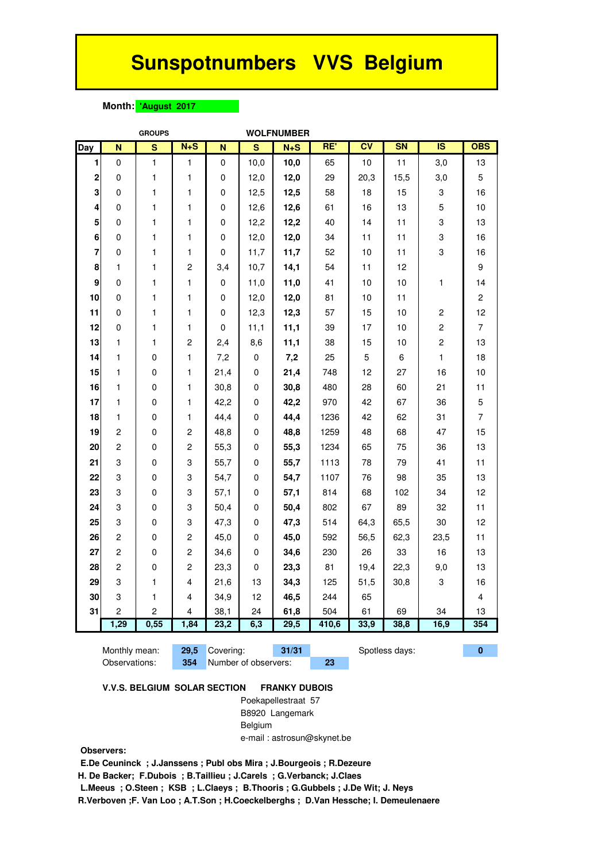# **Sunspotnumbers VVS Belgium**

#### **Month: 'August 2017**

|     | <b>WOLFNUMBER</b><br><b>GROUPS</b><br>RE'<br>$\overline{\mathsf{cv}}$<br>$\overline{\mathsf{IS}}$<br>N<br>$N+S$<br>$\overline{\mathsf{N}}$<br><b>SN</b><br>S<br>S<br>$N + S$ |                |                         |           |           |       |       |      |                |                  |                |  |  |  |
|-----|------------------------------------------------------------------------------------------------------------------------------------------------------------------------------|----------------|-------------------------|-----------|-----------|-------|-------|------|----------------|------------------|----------------|--|--|--|
| Day |                                                                                                                                                                              |                |                         |           |           |       |       |      |                |                  | <b>OBS</b>     |  |  |  |
| 1   | 0                                                                                                                                                                            | 1              | 1                       | 0         | 10,0      | 10,0  | 65    | 10   | 11             | 3,0              | 13             |  |  |  |
| 2   | 0                                                                                                                                                                            | 1              | 1                       | 0         | 12,0      | 12,0  | 29    | 20,3 | 15,5           | 3,0              | 5              |  |  |  |
| 3   | 0                                                                                                                                                                            | 1              | 1                       | 0         | 12,5      | 12,5  | 58    | 18   | 15             | 3                | 16             |  |  |  |
| 4   | 0                                                                                                                                                                            | 1              | 1                       | 0         | 12,6      | 12,6  | 61    | 16   | 13             | 5                | 10             |  |  |  |
| 5   | 0                                                                                                                                                                            | 1              | 1                       | 0         | 12,2      | 12,2  | 40    | 14   | 11             | 3                | 13             |  |  |  |
| 6   | 0                                                                                                                                                                            | 1              | 1                       | 0         | 12,0      | 12,0  | 34    | 11   | 11             | 3                | 16             |  |  |  |
| 7   | 0                                                                                                                                                                            | 1              | 1                       | 0         | 11,7      | 11,7  | 52    | 10   | 11             | 3                | 16             |  |  |  |
| 8   | 1                                                                                                                                                                            | 1              | $\overline{\mathbf{c}}$ | 3,4       | 10,7      | 14,1  | 54    | 11   | 12             |                  | 9              |  |  |  |
| 9   | 0                                                                                                                                                                            | $\mathbf{1}$   | 1                       | 0         | 11,0      | 11,0  | 41    | 10   | 10             | 1                | 14             |  |  |  |
| 10  | 0                                                                                                                                                                            | $\mathbf{1}$   | 1                       | 0         | 12,0      | 12,0  | 81    | 10   | 11             |                  | 2              |  |  |  |
| 11  | 0                                                                                                                                                                            | 1              | 1                       | 0         | 12,3      | 12,3  | 57    | 15   | 10             | $\boldsymbol{2}$ | 12             |  |  |  |
| 12  | 0                                                                                                                                                                            | 1              | 1                       | 0         | 11,1      | 11,1  | 39    | 17   | 10             | $\boldsymbol{2}$ | $\overline{7}$ |  |  |  |
| 13  | 1                                                                                                                                                                            | 1              | 2                       | 2,4       | 8,6       | 11,1  | 38    | 15   | 10             | 2                | 13             |  |  |  |
| 14  | 1                                                                                                                                                                            | 0              | 1                       | 7,2       | $\pmb{0}$ | 7,2   | 25    | 5    | 6              | 1                | 18             |  |  |  |
| 15  | 1                                                                                                                                                                            | 0              | 1                       | 21,4      | 0         | 21,4  | 748   | 12   | 27             | 16               | 10             |  |  |  |
| 16  | 1                                                                                                                                                                            | 0              | 1                       | 30,8      | 0         | 30,8  | 480   | 28   | 60             | 21               | 11             |  |  |  |
| 17  | 1                                                                                                                                                                            | 0              | 1                       | 42,2      | 0         | 42,2  | 970   | 42   | 67             | 36               | 5              |  |  |  |
| 18  | 1                                                                                                                                                                            | 0              | 1                       | 44,4      | 0         | 44,4  | 1236  | 42   | 62             | 31               | $\overline{7}$ |  |  |  |
| 19  | 2                                                                                                                                                                            | 0              | 2                       | 48,8      | 0         | 48,8  | 1259  | 48   | 68             | 47               | 15             |  |  |  |
| 20  | 2                                                                                                                                                                            | 0              | 2                       | 55,3      | 0         | 55,3  | 1234  | 65   | 75             | 36               | 13             |  |  |  |
| 21  | 3                                                                                                                                                                            | 0              | 3                       | 55,7      | 0         | 55,7  | 1113  | 78   | 79             | 41               | 11             |  |  |  |
| 22  | 3                                                                                                                                                                            | 0              | 3                       | 54,7      | 0         | 54,7  | 1107  | 76   | 98             | 35               | 13             |  |  |  |
| 23  | 3                                                                                                                                                                            | 0              | 3                       | 57,1      | 0         | 57,1  | 814   | 68   | 102            | 34               | 12             |  |  |  |
| 24  | 3                                                                                                                                                                            | 0              | 3                       | 50,4      | 0         | 50,4  | 802   | 67   | 89             | 32               | 11             |  |  |  |
| 25  | 3                                                                                                                                                                            | 0              | 3                       | 47,3      | 0         | 47,3  | 514   | 64,3 | 65,5           | 30               | 12             |  |  |  |
| 26  | $\overline{c}$                                                                                                                                                               | 0              | 2                       | 45,0      | 0         | 45,0  | 592   | 56,5 | 62,3           | 23,5             | 11             |  |  |  |
| 27  | 2                                                                                                                                                                            | 0              | 2                       | 34,6      | 0         | 34,6  | 230   | 26   | 33             | 16               | 13             |  |  |  |
| 28  | 2                                                                                                                                                                            | 0              | 2                       | 23,3      | 0         | 23,3  | 81    | 19,4 | 22,3           | 9,0              | 13             |  |  |  |
| 29  | 3                                                                                                                                                                            | 1              | 4                       | 21,6      | 13        | 34,3  | 125   | 51,5 | 30,8           | 3                | 16             |  |  |  |
| 30  | 3                                                                                                                                                                            | 1              | 4                       | 34,9      | 12        | 46,5  | 244   | 65   |                |                  | 4              |  |  |  |
| 31  | $\overline{c}$                                                                                                                                                               | $\overline{c}$ | 4                       | 38,1      | 24        | 61,8  | 504   | 61   | 69             | 34               | 13             |  |  |  |
|     | 1,29                                                                                                                                                                         | 0,55           | 1,84                    | 23,2      | 6,3       | 29,5  | 410,6 | 33,9 | 38,8           | 16,9             | 354            |  |  |  |
|     | Monthly mean:                                                                                                                                                                |                | 29,5                    | Covering: |           | 31/31 |       |      | Spotless days: |                  | $\bf{0}$       |  |  |  |

Observations: **354** Number of observers: **23**

**V.V.S. BELGIUM SOLAR SECTION FRANKY DUBOIS**

Poekapellestraat 57 B8920 Langemark Belgium e-mail : astrosun@skynet.be

 **Observers:**

 **E.De Ceuninck ; J.Janssens ; Publ obs Mira ; J.Bourgeois ; R.Dezeure** 

**H. De Backer; F.Dubois ; B.Taillieu ; J.Carels ; G.Verbanck; J.Claes**

 **L.Meeus ; O.Steen ; KSB ; L.Claeys ; B.Thooris ; G.Gubbels ; J.De Wit; J. Neys**

**R.Verboven ;F. Van Loo ; A.T.Son ; H.Coeckelberghs ; D.Van Hessche; I. Demeulenaere**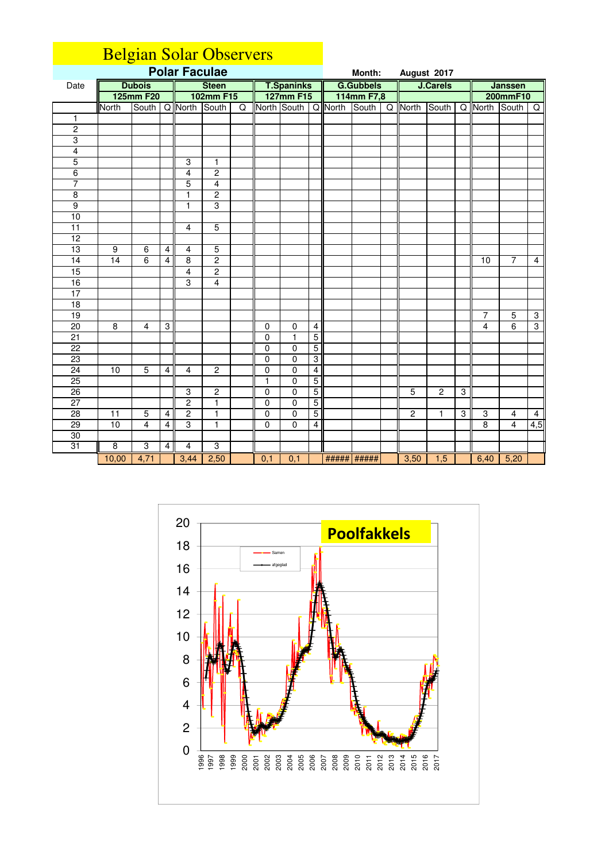|                       | <b>Belgian Solar Observers</b>     |                  |                |                         |                |   |                            |                     |                                  |                  |             |                |                |   |               |                |                |
|-----------------------|------------------------------------|------------------|----------------|-------------------------|----------------|---|----------------------------|---------------------|----------------------------------|------------------|-------------|----------------|----------------|---|---------------|----------------|----------------|
|                       |                                    |                  |                | <b>Polar Faculae</b>    |                |   |                            |                     | Month:                           |                  | August 2017 |                |                |   |               |                |                |
| Date                  |                                    | <b>Dubois</b>    |                |                         | <b>Steen</b>   |   |                            | <b>T.Spaninks</b>   |                                  | <b>G.Gubbels</b> |             |                | J.Carels       |   |               | <b>Janssen</b> |                |
|                       |                                    | <b>125mm F20</b> |                |                         | 102mm F15      |   |                            | 127mm F15           |                                  | 114mm F7,8       |             |                |                |   |               | 200mmF10       |                |
|                       | North                              |                  |                | South Q North South     |                | Q |                            | North South Q North |                                  | South            | Q           | North South    |                |   | Q North South |                | Q              |
| 1                     |                                    |                  |                |                         |                |   |                            |                     |                                  |                  |             |                |                |   |               |                |                |
| $\overline{c}$        |                                    |                  |                |                         |                |   |                            |                     |                                  |                  |             |                |                |   |               |                |                |
| 3                     |                                    |                  |                |                         |                |   |                            |                     |                                  |                  |             |                |                |   |               |                |                |
| $\overline{4}$        |                                    |                  |                |                         |                |   |                            |                     |                                  |                  |             |                |                |   |               |                |                |
| 5                     |                                    |                  |                | $\sqrt{3}$              | 1              |   |                            |                     |                                  |                  |             |                |                |   |               |                |                |
| 6<br>7                |                                    |                  |                | 4                       | 2              |   |                            |                     |                                  |                  |             |                |                |   |               |                |                |
| 8                     | 5<br>4<br>2<br>$\mathbf{1}$        |                  |                |                         |                |   |                            |                     |                                  |                  |             |                |                |   |               |                |                |
| 9                     |                                    |                  |                | $\mathbf{1}$            | 3              |   |                            |                     |                                  |                  |             |                |                |   |               |                |                |
| 10                    |                                    |                  |                |                         |                |   |                            |                     |                                  |                  |             |                |                |   |               |                |                |
| $\overline{11}$       |                                    |                  |                | 4                       | 5              |   |                            |                     |                                  |                  |             |                |                |   |               |                |                |
| $\overline{12}$       |                                    |                  |                |                         |                |   |                            |                     |                                  |                  |             |                |                |   |               |                |                |
| 13                    | 9                                  | 6                | $\overline{4}$ | $\overline{4}$          | 5              |   |                            |                     |                                  |                  |             |                |                |   |               |                |                |
| 14                    | 14                                 | 6                | 4              | $\overline{8}$          | 2              |   |                            |                     |                                  |                  |             |                |                |   | 10            | $\overline{7}$ | $\overline{4}$ |
| 15                    |                                    |                  |                | $\overline{\mathbf{4}}$ | 2              |   |                            |                     |                                  |                  |             |                |                |   |               |                |                |
| 16                    |                                    |                  |                | 3                       | 4              |   |                            |                     |                                  |                  |             |                |                |   |               |                |                |
| 17                    |                                    |                  |                |                         |                |   |                            |                     |                                  |                  |             |                |                |   |               |                |                |
| $\overline{18}$       |                                    |                  |                |                         |                |   |                            |                     |                                  |                  |             |                |                |   |               |                |                |
| 19                    |                                    |                  |                |                         |                |   |                            |                     |                                  |                  |             |                |                |   | 7             | 5              | 3              |
| $\overline{20}$       | 8                                  | 4                | 3              |                         |                |   | 0                          | 0                   | $\overline{4}$                   |                  |             |                |                |   | 4             | 6              | $\overline{3}$ |
| $\overline{21}$       |                                    |                  |                |                         |                |   | 0                          | 1                   | $\overline{5}$                   |                  |             |                |                |   |               |                |                |
| $\overline{22}$       |                                    |                  |                |                         |                |   | $\mathbf 0$                | 0                   | $\overline{5}$<br>$\overline{3}$ |                  |             |                |                |   |               |                |                |
| 23<br>$\overline{24}$ | 10                                 | 5                | 4              | $\overline{4}$          | 2              |   | $\mathbf 0$<br>$\mathbf 0$ | 0<br>0              | $\overline{\mathbf{4}}$          |                  |             |                |                |   |               |                |                |
| 25                    |                                    |                  |                |                         |                |   | $\mathbf{1}$               | 0                   | $\overline{5}$                   |                  |             |                |                |   |               |                |                |
| $\overline{26}$       |                                    |                  |                | 3                       | $\overline{2}$ |   | $\mathbf 0$                | 0                   | $\overline{5}$                   |                  |             | $\overline{5}$ | $\overline{2}$ | 3 |               |                |                |
| 27                    |                                    |                  |                | $\overline{2}$          | 1              |   | $\mathbf 0$                | 0                   | $\overline{5}$                   |                  |             |                |                |   |               |                |                |
| 28                    | 11                                 | 5                | $\overline{4}$ | $\overline{2}$          | $\mathbf{1}$   |   | $\mathbf 0$                | 0                   | $\overline{5}$                   |                  |             | $\overline{c}$ | $\mathbf{1}$   | 3 | 3             | 4              | 4              |
| 29                    | 10                                 | 4                | $\overline{4}$ | $\overline{3}$          | 1              |   | $\Omega$                   | 0                   | $\overline{\mathbf{4}}$          |                  |             |                |                |   | 8             | 4              | 4,5            |
| 30                    |                                    |                  |                |                         |                |   |                            |                     |                                  |                  |             |                |                |   |               |                |                |
| $\overline{31}$       | 3<br>8<br>3<br>4<br>$\overline{4}$ |                  |                |                         |                |   |                            |                     |                                  |                  |             |                |                |   |               |                |                |
|                       | 10,00                              | 4,71             |                | 3,44                    | 2,50           |   | 0,1                        | 0,1                 |                                  | ##### #####      |             | 3,50           | 1,5            |   | 6,40          | 5,20           |                |

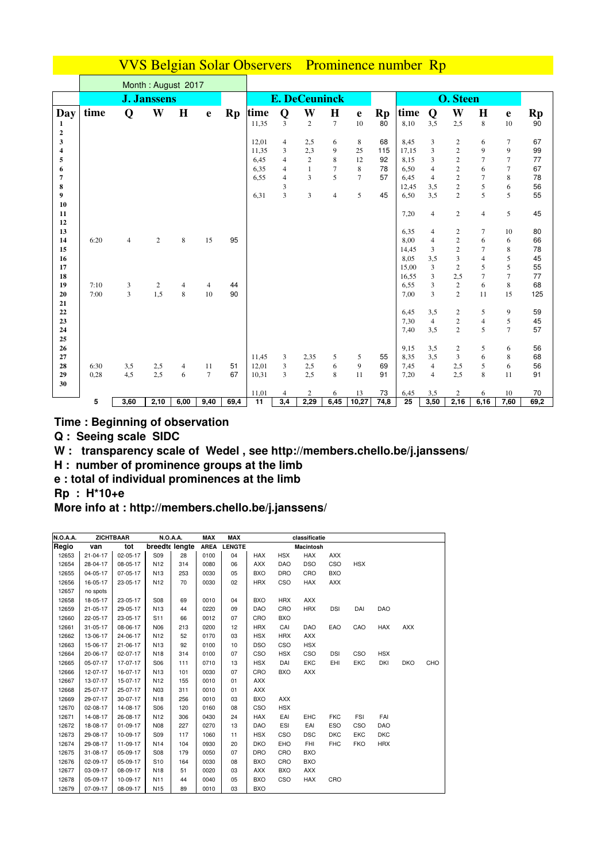|                       |      |                |                    |                |                  |           | <b>VVS Belgian Solar Observers</b> Prominence number Rp |                     |                      |                |             |                        |                 |                          |                              |                    |                |                        |
|-----------------------|------|----------------|--------------------|----------------|------------------|-----------|---------------------------------------------------------|---------------------|----------------------|----------------|-------------|------------------------|-----------------|--------------------------|------------------------------|--------------------|----------------|------------------------|
|                       |      |                | Month: August 2017 |                |                  |           |                                                         |                     |                      |                |             |                        |                 |                          |                              |                    |                |                        |
|                       |      |                | <b>J. Janssens</b> |                |                  |           |                                                         |                     | <b>E. DeCeuninck</b> |                |             |                        |                 |                          | O. Steen                     |                    |                |                        |
| Day                   | time | Q              | W                  | $\bf H$        | $\mathbf{e}$     | <b>Rp</b> | time                                                    | Q                   | W                    | $\mathbf H$    | $\mathbf e$ | $\mathbf{R}\mathbf{p}$ | time            | Q                        | W                            | $\bf H$            | e              | $\mathbf{R}\mathbf{p}$ |
| 1<br>$\boldsymbol{2}$ |      |                |                    |                |                  |           | 11,35                                                   | 3                   | $\overline{2}$       | $\overline{7}$ | 10          | 80                     | 8,10            | 3,5                      | 2,5                          | $\,8\,$            | 10             | 90                     |
| 3                     |      |                |                    |                |                  |           | 12,01                                                   | $\overline{4}$      | 2,5                  | 6              | 8           | 68                     | 8,45            | 3                        | $\frac{2}{2}$                | 6                  | 7              | 67                     |
| 4                     |      |                |                    |                |                  |           | 11,35                                                   | 3                   | 2,3                  | 9              | 25          | 115                    | 17,15           | 3                        |                              | 9                  | 9              | 99                     |
| 5                     |      |                |                    |                |                  |           | 6,45                                                    | $\overline{4}$      | $\overline{2}$       | 8              | 12          | 92                     | 8,15            | 3                        | $\overline{c}$               | $\overline{7}$     | 7              | 77                     |
| 6                     |      |                |                    |                |                  |           | 6,35                                                    | $\overline{4}$      | $\mathbf{1}$         | $\overline{7}$ | 8           | 78                     | 6,50            | $\overline{4}$           | $\overline{c}$               | 6                  | $\overline{7}$ | 67                     |
| $\overline{7}$        |      |                |                    |                |                  |           | 6,55                                                    | $\overline{4}$      | 3                    | 5              | $\tau$      | 57                     | 6,45            | $\overline{4}$           | $\overline{c}$               | $\overline{7}$     | 8              | 78                     |
| 8<br>9                |      |                |                    |                |                  |           | 6,31                                                    | 3<br>$\overline{3}$ | 3                    | $\overline{4}$ | 5           | 45                     | 12,45<br>6,50   | 3,5<br>3,5               | $\sqrt{2}$<br>$\overline{c}$ | $\mathfrak s$<br>5 | 6<br>5         | 56<br>55               |
| 10                    |      |                |                    |                |                  |           |                                                         |                     |                      |                |             |                        |                 |                          |                              |                    |                |                        |
| 11<br>12              |      |                |                    |                |                  |           |                                                         |                     |                      |                |             |                        | 7,20            | $\overline{4}$           | $\mathbf{2}$                 | $\overline{4}$     | 5              | 45                     |
| 13                    |      |                |                    |                |                  |           |                                                         |                     |                      |                |             |                        | 6,35            | $\overline{\mathcal{L}}$ | $\overline{c}$               | 7                  | 10             | 80                     |
| 14                    | 6:20 | $\overline{4}$ | $\sqrt{2}$         | 8              | 15               | 95        |                                                         |                     |                      |                |             |                        | 8,00            | $\overline{4}$           | $\sqrt{2}$                   | 6                  | 6              | 66                     |
| 15                    |      |                |                    |                |                  |           |                                                         |                     |                      |                |             |                        | 14,45           | 3                        | $\sqrt{2}$                   | $\overline{7}$     | 8              | 78                     |
| 16                    |      |                |                    |                |                  |           |                                                         |                     |                      |                |             |                        | 8,05            | 3,5                      | 3                            | $\overline{4}$     | 5              | 45                     |
| 17                    |      |                |                    |                |                  |           |                                                         |                     |                      |                |             |                        | 15,00           | 3                        | $\overline{c}$               | 5                  | 5              | 55                     |
| 18                    |      |                |                    |                |                  |           |                                                         |                     |                      |                |             |                        | 16,55           | 3                        | 2,5                          | $\overline{7}$     | $\overline{7}$ | 77                     |
| 19                    | 7:10 | 3              | 2                  | $\overline{4}$ | $\overline{4}$   | 44        |                                                         |                     |                      |                |             |                        | 6,55            | 3                        | $\mathbf{2}$                 | 6                  | 8              | 68                     |
| 20<br>21              | 7:00 | $\overline{3}$ | 1,5                | 8              | 10               | 90        |                                                         |                     |                      |                |             |                        | 7,00            | 3                        | $\overline{2}$               | 11                 | 15             | 125                    |
| $22\,$                |      |                |                    |                |                  |           |                                                         |                     |                      |                |             |                        | 6,45            | 3,5                      | $\boldsymbol{2}$             | 5                  | 9              | 59                     |
| 23                    |      |                |                    |                |                  |           |                                                         |                     |                      |                |             |                        | 7,30            | $\overline{4}$           | $\sqrt{2}$                   | $\overline{4}$     | 5              | 45                     |
| 24                    |      |                |                    |                |                  |           |                                                         |                     |                      |                |             |                        | 7,40            | 3,5                      | $\overline{c}$               | 5                  | $\overline{7}$ | 57                     |
| 25                    |      |                |                    |                |                  |           |                                                         |                     |                      |                |             |                        |                 |                          |                              |                    |                |                        |
| 26                    |      |                |                    |                |                  |           |                                                         |                     |                      |                |             |                        | 9,15            | 3,5                      | $\overline{c}$               | 5                  | 6              | 56                     |
| 27                    |      |                |                    |                |                  |           | 11,45                                                   | 3                   | 2,35                 | 5              | 5           | 55                     | 8,35            | 3,5                      | 3                            | 6                  | 8              | 68                     |
| 28                    | 6:30 | 3,5            | 2,5                | $\overline{4}$ | 11               | 51        | 12,01                                                   | 3                   | 2,5                  | 6              | 9           | 69                     | 7,45            | $\overline{4}$           | 2,5                          | 5                  | 6              | 56                     |
| 29<br>30              | 0,28 | 4,5            | 2,5                | 6              | $\boldsymbol{7}$ | 67        | 10,31                                                   | 3                   | 2,5                  | 8              | 11          | 91                     | 7,20            | $\overline{4}$           | 2,5                          | 8                  | 11             | 91                     |
|                       |      |                |                    |                |                  |           | 11,01                                                   | $\overline{4}$      | $\overline{c}$       | 6              | 13          | 73                     | 6,45            | 3,5                      | $\overline{c}$               | 6                  | 10             | 70                     |
|                       | 5    | 3,60           | 2,10               | 6,00           | 9,40             | 69,4      | $\overline{11}$                                         | $\overline{3,4}$    | 2,29                 | 6,45           | 10,27       | 74,8                   | $\overline{25}$ | 3,50                     | 2,16                         | 6,16               | 7,60           | 69,2                   |

**Time : Beginning of observation** 

**Q : Seeing scale SIDC** 

**W : transparency scale of Wedel , see http://members.chello.be/j.janssens/** 

**H : number of prominence groups at the limb**

**e : total of individual prominences at the limb**

**Rp : H\*10+e** 

**More info at : http://members.chello.be/j.janssens/** 

| <b>N.O.A.A.</b> | <b>ZICHTBAAR</b> |                | <b>N.O.A.A.</b> |                | MAX         | <b>MAX</b>    |            |            | classificatie    |            |            |            |            |     |
|-----------------|------------------|----------------|-----------------|----------------|-------------|---------------|------------|------------|------------------|------------|------------|------------|------------|-----|
| Regio           | van              | tot            |                 | breedte lengte | <b>AREA</b> | <b>LENGTE</b> |            |            | <b>Macintosh</b> |            |            |            |            |     |
| 12653           | $21 - 04 - 17$   | 02-05-17       | S09             | 28             | 0100        | 04            | HAX        | <b>HSX</b> | HAX              | <b>AXX</b> |            |            |            |     |
| 12654           | 28-04-17         | 08-05-17       | N <sub>12</sub> | 314            | 0080        | 06            | <b>AXX</b> | <b>DAO</b> | <b>DSO</b>       | CSO        | <b>HSX</b> |            |            |     |
| 12655           | 04-05-17         | 07-05-17       | N <sub>13</sub> | 253            | 0030        | 05            | <b>BXO</b> | <b>DRO</b> | CRO              | <b>BXO</b> |            |            |            |     |
| 12656           | 16-05-17         | 23-05-17       | N <sub>12</sub> | 70             | 0030        | 02            | <b>HRX</b> | CSO        | HAX              | <b>AXX</b> |            |            |            |     |
| 12657           | no spots         |                |                 |                |             |               |            |            |                  |            |            |            |            |     |
| 12658           | 18-05-17         | 23-05-17       | S08             | 69             | 0010        | 04            | <b>BXO</b> | <b>HRX</b> | <b>AXX</b>       |            |            |            |            |     |
| 12659           | $21 - 05 - 17$   | 29-05-17       | N <sub>13</sub> | 44             | 0220        | 09            | <b>DAO</b> | CRO        | <b>HRX</b>       | <b>DSI</b> | DAI        | <b>DAO</b> |            |     |
| 12660           | 22-05-17         | 23-05-17       | S11             | 66             | 0012        | 07            | CRO        | <b>BXO</b> |                  |            |            |            |            |     |
| 12661           | $31 - 05 - 17$   | 08-06-17       | N06             | 213            | 0200        | 12            | <b>HRX</b> | CAI        | DAO              | EAO        | CAO        | <b>HAX</b> | <b>AXX</b> |     |
| 12662           | 13-06-17         | 24-06-17       | N <sub>12</sub> | 52             | 0170        | 03            | <b>HSX</b> | <b>HRX</b> | AXX              |            |            |            |            |     |
| 12663           | 15-06-17         | $21 - 06 - 17$ | N <sub>13</sub> | 92             | 0100        | 10            | <b>DSO</b> | CSO        | <b>HSX</b>       |            |            |            |            |     |
| 12664           | 20-06-17         | 02-07-17       | N18             | 314            | 0100        | 07            | CSO        | <b>HSX</b> | CSO              | <b>DSI</b> | CSO        | <b>HSX</b> |            |     |
| 12665           | 05-07-17         | 17-07-17       | S06             | 111            | 0710        | 13            | <b>HSX</b> | DAI        | EKC              | EHI        | EKC        | DKI        | <b>DKO</b> | CHO |
| 12666           | 12-07-17         | 16-07-17       | N <sub>13</sub> | 101            | 0030        | 07            | CRO        | <b>BXO</b> | <b>AXX</b>       |            |            |            |            |     |
| 12667           | 13-07-17         | 15-07-17       | N <sub>12</sub> | 155            | 0010        | 01            | <b>AXX</b> |            |                  |            |            |            |            |     |
| 12668           | 25-07-17         | 25-07-17       | N03             | 311            | 0010        | 01            | <b>AXX</b> |            |                  |            |            |            |            |     |
| 12669           | 29-07-17         | 30-07-17       | N <sub>18</sub> | 256            | 0010        | 03            | <b>BXO</b> | <b>AXX</b> |                  |            |            |            |            |     |
| 12670           | 02-08-17         | 14-08-17       | S06             | 120            | 0160        | 08            | CSO        | <b>HSX</b> |                  |            |            |            |            |     |
| 12671           | 14-08-17         | 26-08-17       | N <sub>12</sub> | 306            | 0430        | 24            | <b>HAX</b> | EAI        | <b>EHC</b>       | <b>FKC</b> | FSI        | FAI        |            |     |
| 12672           | 18-08-17         | $01 - 09 - 17$ | N08             | 227            | 0270        | 13            | DAO        | ESI        | EAI              | <b>ESO</b> | CSO        | <b>DAO</b> |            |     |
| 12673           | 29-08-17         | 10-09-17       | S09             | 117            | 1060        | 11            | <b>HSX</b> | CSO        | <b>DSC</b>       | <b>DKC</b> | EKC        | <b>DKC</b> |            |     |
| 12674           | 29-08-17         | 11-09-17       | N <sub>14</sub> | 104            | 0930        | 20            | <b>DKO</b> | EHO        | <b>FHI</b>       | <b>FHC</b> | <b>FKO</b> | <b>HRX</b> |            |     |
| 12675           | 31-08-17         | 05-09-17       | <b>S08</b>      | 179            | 0050        | 07            | <b>DRO</b> | CRO        | <b>BXO</b>       |            |            |            |            |     |
| 12676           | 02-09-17         | 05-09-17       | S <sub>10</sub> | 164            | 0030        | 08            | <b>BXO</b> | CRO        | <b>BXO</b>       |            |            |            |            |     |
| 12677           | 03-09-17         | 08-09-17       | N <sub>18</sub> | 51             | 0020        | 03            | <b>AXX</b> | <b>BXO</b> | <b>AXX</b>       |            |            |            |            |     |
| 12678           | 05-09-17         | 10-09-17       | N11             | 44             | 0040        | 05            | <b>BXO</b> | CSO        | HAX              | CRO        |            |            |            |     |
| 12679           | 07-09-17         | 08-09-17       | N <sub>15</sub> | 89             | 0010        | 03            | <b>BXO</b> |            |                  |            |            |            |            |     |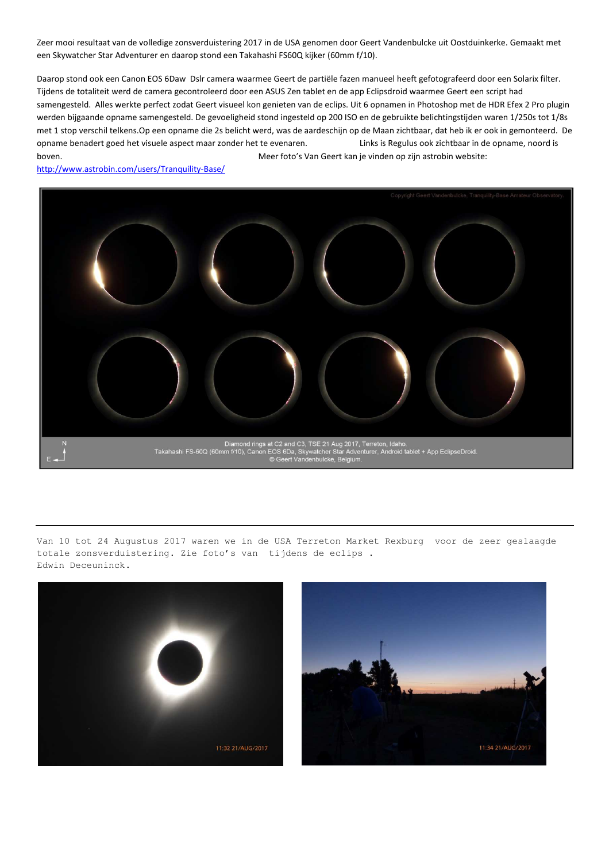Zeer mooi resultaat van de volledige zonsverduistering 2017 in de USA genomen door Geert Vandenbulcke uit Oostduinkerke. Gemaakt met een Skywatcher Star Adventurer en daarop stond een Takahashi FS60Q kijker (60mm f/10).

Daarop stond ook een Canon EOS 6Daw Dslr camera waarmee Geert de partiële fazen manueel heeft gefotografeerd door een Solarix filter. Tijdens de totaliteit werd de camera gecontroleerd door een ASUS Zen tablet en de app Eclipsdroid waarmee Geert een script had samengesteld. Alles werkte perfect zodat Geert visueel kon genieten van de eclips. Uit 6 opnamen in Photoshop met de HDR Efex 2 Pro plugin werden bijgaande opname samengesteld. De gevoeligheid stond ingesteld op 200 ISO en de gebruikte belichtingstijden waren 1/250s tot 1/8s met 1 stop verschil telkens.Op een opname die 2s belicht werd, was de aardeschijn op de Maan zichtbaar, dat heb ik er ook in gemonteerd. De opname benadert goed het visuele aspect maar zonder het te evenaren. Links is Regulus ook zichtbaar in de opname, noord is boven. Meer foto's Van Geert kan je vinden op zijn astrobin website:

http://www.astrobin.com/users/Tranquility-Base/



Van 10 tot 24 Augustus 2017 waren we in de USA Terreton Market Rexburg voor de zeer geslaagde totale zonsverduistering. Zie foto's van tijdens de eclips . Edwin Deceuninck.